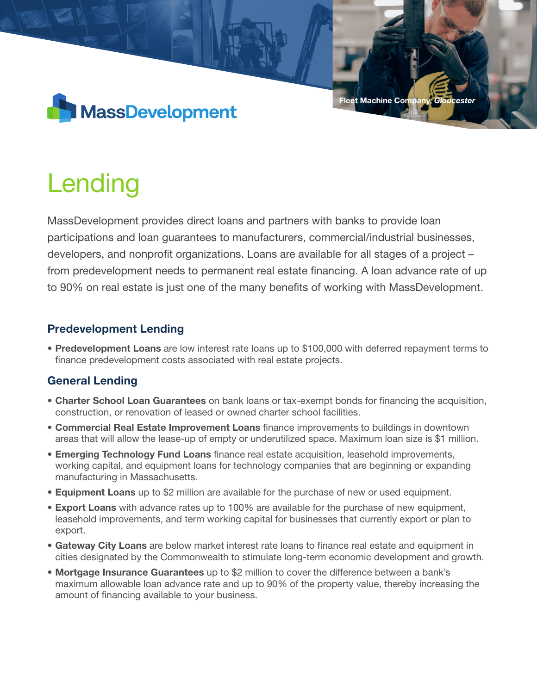

#### Fleet Machine Company, *Gloucester*

# Lending

MassDevelopment provides direct loans and partners with banks to provide loan participations and loan guarantees to manufacturers, commercial/industrial businesses, developers, and nonprofit organizations. Loans are available for all stages of a project – from predevelopment needs to permanent real estate financing. A loan advance rate of up to 90% on real estate is just one of the many benefits of working with MassDevelopment.

## Predevelopment Lending

• Predevelopment Loans are low interest rate loans up to \$100,000 with deferred repayment terms to finance predevelopment costs associated with real estate projects.

# General Lending

- Charter School Loan Guarantees on bank loans or tax-exempt bonds for financing the acquisition, construction, or renovation of leased or owned charter school facilities.
- Commercial Real Estate Improvement Loans finance improvements to buildings in downtown areas that will allow the lease-up of empty or underutilized space. Maximum loan size is \$1 million.
- **Emerging Technology Fund Loans** finance real estate acquisition, leasehold improvements, working capital, and equipment loans for technology companies that are beginning or expanding manufacturing in Massachusetts.
- Equipment Loans up to \$2 million are available for the purchase of new or used equipment.
- **Export Loans** with advance rates up to 100% are available for the purchase of new equipment, leasehold improvements, and term working capital for businesses that currently export or plan to export.
- **Gateway City Loans** are below market interest rate loans to finance real estate and equipment in cities designated by the Commonwealth to stimulate long-term economic development and growth.
- Mortgage Insurance Guarantees up to \$2 million to cover the difference between a bank's maximum allowable loan advance rate and up to 90% of the property value, thereby increasing the amount of financing available to your business.